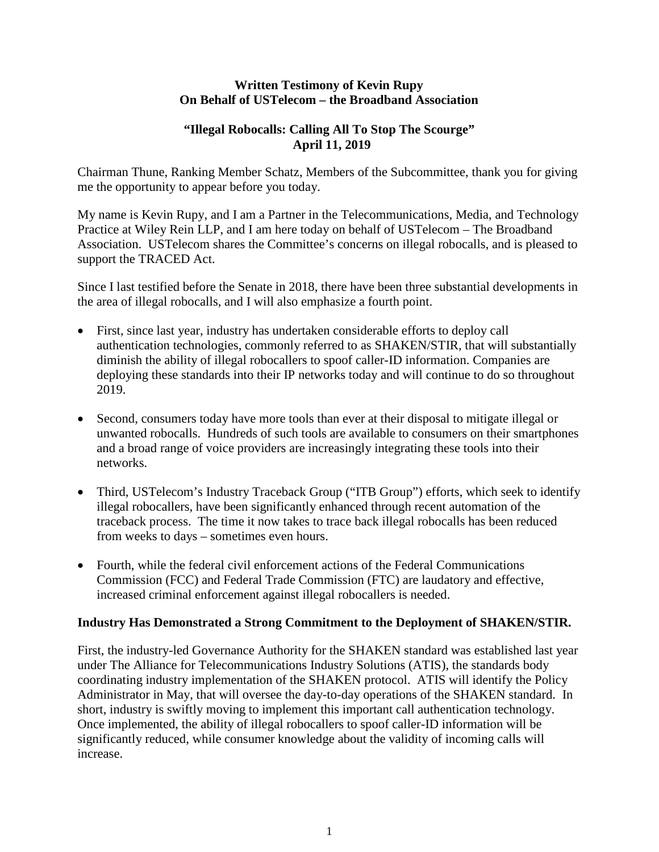#### **Written Testimony of Kevin Rupy On Behalf of USTelecom – the Broadband Association**

### **"Illegal Robocalls: Calling All To Stop The Scourge" April 11, 2019**

Chairman Thune, Ranking Member Schatz, Members of the Subcommittee, thank you for giving me the opportunity to appear before you today.

My name is Kevin Rupy, and I am a Partner in the Telecommunications, Media, and Technology Practice at Wiley Rein LLP, and I am here today on behalf of USTelecom – The Broadband Association. USTelecom shares the Committee's concerns on illegal robocalls, and is pleased to support the TRACED Act.

Since I last testified before the Senate in 2018, there have been three substantial developments in the area of illegal robocalls, and I will also emphasize a fourth point.

- First, since last year, industry has undertaken considerable efforts to deploy call authentication technologies, commonly referred to as SHAKEN/STIR, that will substantially diminish the ability of illegal robocallers to spoof caller-ID information. Companies are deploying these standards into their IP networks today and will continue to do so throughout 2019.
- Second, consumers today have more tools than ever at their disposal to mitigate illegal or unwanted robocalls. Hundreds of such tools are available to consumers on their smartphones and a broad range of voice providers are increasingly integrating these tools into their networks.
- Third, USTelecom's Industry Traceback Group ("ITB Group") efforts, which seek to identify illegal robocallers, have been significantly enhanced through recent automation of the traceback process. The time it now takes to trace back illegal robocalls has been reduced from weeks to days – sometimes even hours.
- Fourth, while the federal civil enforcement actions of the Federal Communications Commission (FCC) and Federal Trade Commission (FTC) are laudatory and effective, increased criminal enforcement against illegal robocallers is needed.

#### **Industry Has Demonstrated a Strong Commitment to the Deployment of SHAKEN/STIR.**

First, the industry-led Governance Authority for the SHAKEN standard was established last year under The Alliance for Telecommunications Industry Solutions (ATIS), the standards body coordinating industry implementation of the SHAKEN protocol. ATIS will identify the Policy Administrator in May, that will oversee the day-to-day operations of the SHAKEN standard. In short, industry is swiftly moving to implement this important call authentication technology. Once implemented, the ability of illegal robocallers to spoof caller-ID information will be significantly reduced, while consumer knowledge about the validity of incoming calls will increase.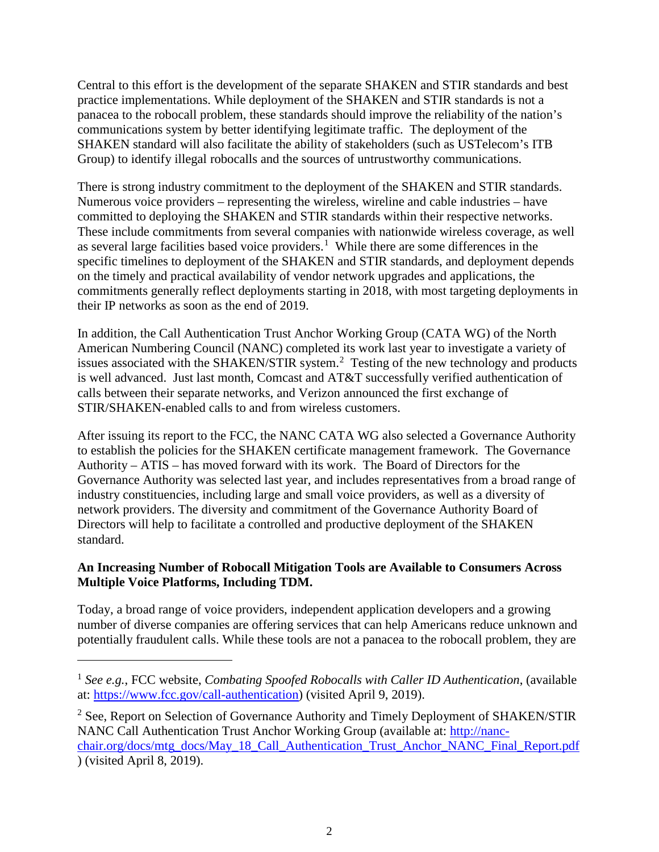Central to this effort is the development of the separate SHAKEN and STIR standards and best practice implementations. While deployment of the SHAKEN and STIR standards is not a panacea to the robocall problem, these standards should improve the reliability of the nation's communications system by better identifying legitimate traffic. The deployment of the SHAKEN standard will also facilitate the ability of stakeholders (such as USTelecom's ITB Group) to identify illegal robocalls and the sources of untrustworthy communications.

There is strong industry commitment to the deployment of the SHAKEN and STIR standards. Numerous voice providers – representing the wireless, wireline and cable industries – have committed to deploying the SHAKEN and STIR standards within their respective networks. These include commitments from several companies with nationwide wireless coverage, as well as several large facilities based voice providers.<sup>[1](#page-1-0)</sup> While there are some differences in the specific timelines to deployment of the SHAKEN and STIR standards, and deployment depends on the timely and practical availability of vendor network upgrades and applications, the commitments generally reflect deployments starting in 2018, with most targeting deployments in their IP networks as soon as the end of 2019.

In addition, the Call Authentication Trust Anchor Working Group (CATA WG) of the North American Numbering Council (NANC) completed its work last year to investigate a variety of issues associated with the SHAKEN/STIR system.<sup>[2](#page-1-1)</sup> Testing of the new technology and products is well advanced. Just last month, Comcast and AT&T successfully verified authentication of calls between their separate networks, and Verizon announced the first exchange of STIR/SHAKEN-enabled calls to and from wireless customers.

After issuing its report to the FCC, the NANC CATA WG also selected a Governance Authority to establish the policies for the SHAKEN certificate management framework. The Governance Authority – ATIS – has moved forward with its work. The Board of Directors for the Governance Authority was selected last year, and includes representatives from a broad range of industry constituencies, including large and small voice providers, as well as a diversity of network providers. The diversity and commitment of the Governance Authority Board of Directors will help to facilitate a controlled and productive deployment of the SHAKEN standard.

# **An Increasing Number of Robocall Mitigation Tools are Available to Consumers Across Multiple Voice Platforms, Including TDM.**

Today, a broad range of voice providers, independent application developers and a growing number of diverse companies are offering services that can help Americans reduce unknown and potentially fraudulent calls. While these tools are not a panacea to the robocall problem, they are

 $\overline{a}$ 

<span id="page-1-0"></span><sup>1</sup> *See e.g.*, FCC website, *Combating Spoofed Robocalls with Caller ID Authentication*, (available at: [https://www.fcc.gov/call-authentication\)](https://www.fcc.gov/call-authentication) (visited April 9, 2019).

<span id="page-1-1"></span><sup>&</sup>lt;sup>2</sup> See, Report on Selection of Governance Authority and Timely Deployment of SHAKEN/STIR NANC Call Authentication Trust Anchor Working Group (available at: [http://nanc](http://nanc-chair.org/docs/mtg_docs/May_18_Call_Authentication_Trust_Anchor_NANC_Final_Report.pdf)[chair.org/docs/mtg\\_docs/May\\_18\\_Call\\_Authentication\\_Trust\\_Anchor\\_NANC\\_Final\\_Report.pdf](http://nanc-chair.org/docs/mtg_docs/May_18_Call_Authentication_Trust_Anchor_NANC_Final_Report.pdf) ) (visited April 8, 2019).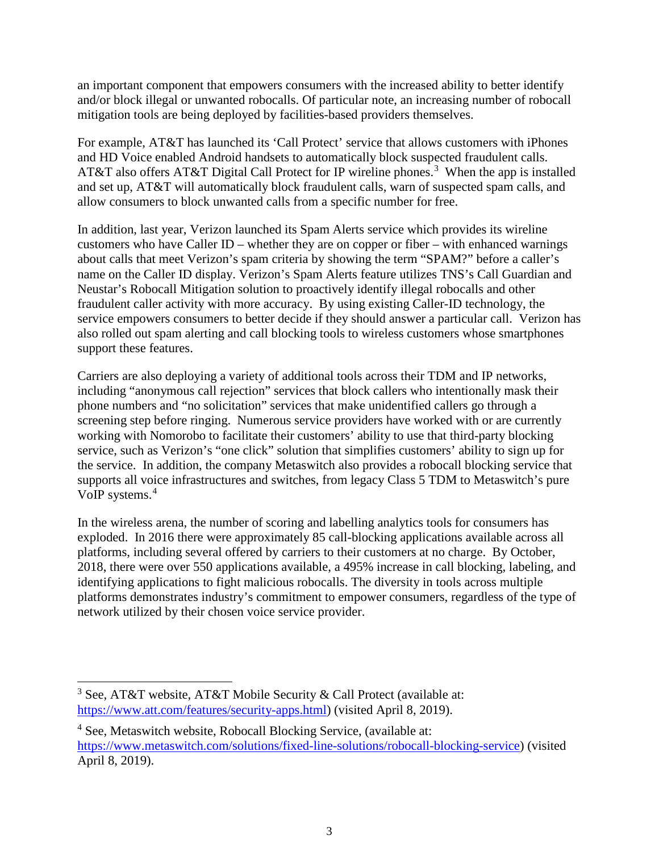an important component that empowers consumers with the increased ability to better identify and/or block illegal or unwanted robocalls. Of particular note, an increasing number of robocall mitigation tools are being deployed by facilities-based providers themselves.

For example, AT&T has launched its 'Call Protect' service that allows customers with iPhones and HD Voice enabled Android handsets to automatically block suspected fraudulent calls. AT&T also offers AT&T Digital Call Protect for IP wireline phones.<sup>[3](#page-2-0)</sup> When the app is installed and set up, AT&T will automatically block fraudulent calls, warn of suspected spam calls, and allow consumers to block unwanted calls from a specific number for free.

In addition, last year, Verizon launched its Spam Alerts service which provides its wireline customers who have Caller ID – whether they are on copper or fiber – with enhanced warnings about calls that meet Verizon's spam criteria by showing the term "SPAM?" before a caller's name on the Caller ID display. Verizon's Spam Alerts feature utilizes TNS's Call Guardian and Neustar's Robocall Mitigation solution to proactively identify illegal robocalls and other fraudulent caller activity with more accuracy. By using existing Caller-ID technology, the service empowers consumers to better decide if they should answer a particular call. Verizon has also rolled out spam alerting and call blocking tools to wireless customers whose smartphones support these features.

Carriers are also deploying a variety of additional tools across their TDM and IP networks, including "anonymous call rejection" services that block callers who intentionally mask their phone numbers and "no solicitation" services that make unidentified callers go through a screening step before ringing. Numerous service providers have worked with or are currently working with Nomorobo to facilitate their customers' ability to use that third-party blocking service, such as Verizon's "one click" solution that simplifies customers' ability to sign up for the service. In addition, the company Metaswitch also provides a robocall blocking service that supports all voice infrastructures and switches, from legacy Class 5 TDM to Metaswitch's pure VoIP systems.<sup>[4](#page-2-1)</sup>

In the wireless arena, the number of scoring and labelling analytics tools for consumers has exploded. In 2016 there were approximately 85 call-blocking applications available across all platforms, including several offered by carriers to their customers at no charge. By October, 2018, there were over 550 applications available, a 495% increase in call blocking, labeling, and identifying applications to fight malicious robocalls. The diversity in tools across multiple platforms demonstrates industry's commitment to empower consumers, regardless of the type of network utilized by their chosen voice service provider.

<span id="page-2-0"></span> <sup>3</sup> See, AT&T website, AT&T Mobile Security & Call Protect (available at: [https://www.att.com/features/security-apps.html\)](https://www.att.com/features/security-apps.html) (visited April 8, 2019).

<span id="page-2-1"></span><sup>4</sup> See, Metaswitch website, Robocall Blocking Service, (available at: [https://www.metaswitch.com/solutions/fixed-line-solutions/robocall-blocking-service\)](https://www.metaswitch.com/solutions/fixed-line-solutions/robocall-blocking-service) (visited April 8, 2019).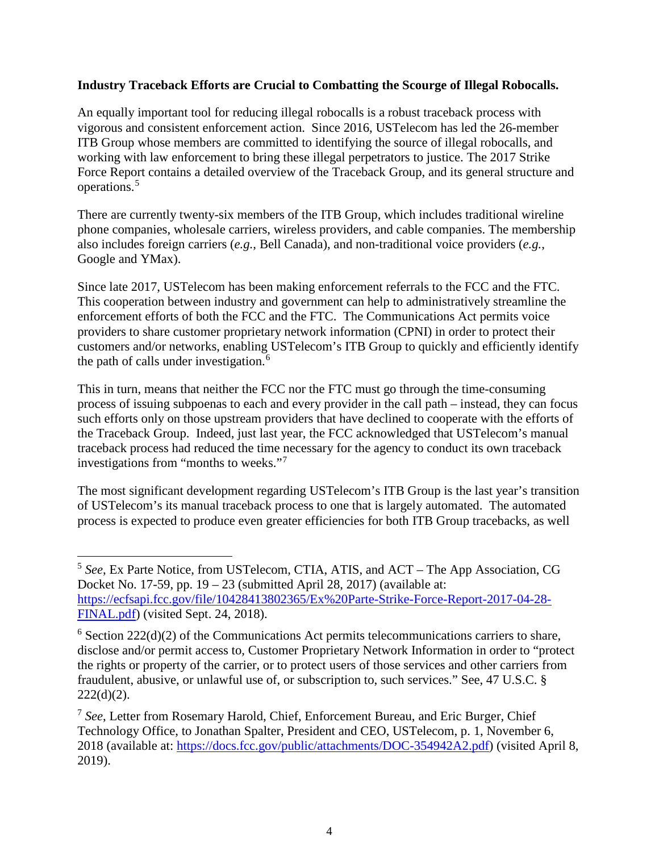### **Industry Traceback Efforts are Crucial to Combatting the Scourge of Illegal Robocalls.**

An equally important tool for reducing illegal robocalls is a robust traceback process with vigorous and consistent enforcement action. Since 2016, USTelecom has led the 26-member ITB Group whose members are committed to identifying the source of illegal robocalls, and working with law enforcement to bring these illegal perpetrators to justice. The 2017 Strike Force Report contains a detailed overview of the Traceback Group, and its general structure and operations.[5](#page-3-0)

There are currently twenty-six members of the ITB Group, which includes traditional wireline phone companies, wholesale carriers, wireless providers, and cable companies. The membership also includes foreign carriers (*e.g.*, Bell Canada), and non-traditional voice providers (*e.g.*, Google and YMax).

Since late 2017, USTelecom has been making enforcement referrals to the FCC and the FTC. This cooperation between industry and government can help to administratively streamline the enforcement efforts of both the FCC and the FTC. The Communications Act permits voice providers to share customer proprietary network information (CPNI) in order to protect their customers and/or networks, enabling USTelecom's ITB Group to quickly and efficiently identify the path of calls under investigation. [6](#page-3-1)

This in turn, means that neither the FCC nor the FTC must go through the time-consuming process of issuing subpoenas to each and every provider in the call path – instead, they can focus such efforts only on those upstream providers that have declined to cooperate with the efforts of the Traceback Group. Indeed, just last year, the FCC acknowledged that USTelecom's manual traceback process had reduced the time necessary for the agency to conduct its own traceback investigations from "months to weeks."[7](#page-3-2)

The most significant development regarding USTelecom's ITB Group is the last year's transition of USTelecom's its manual traceback process to one that is largely automated. The automated process is expected to produce even greater efficiencies for both ITB Group tracebacks, as well

<span id="page-3-0"></span> <sup>5</sup> *See*, Ex Parte Notice, from USTelecom, CTIA, ATIS, and ACT – The App Association, CG Docket No. 17-59, pp.  $19 - 23$  (submitted April 28, 2017) (available at: [https://ecfsapi.fcc.gov/file/10428413802365/Ex%20Parte-Strike-Force-Report-2017-04-28-](https://ecfsapi.fcc.gov/file/10428413802365/Ex%20Parte-Strike-Force-Report-2017-04-28-FINAL.pdf) [FINAL.pdf\)](https://ecfsapi.fcc.gov/file/10428413802365/Ex%20Parte-Strike-Force-Report-2017-04-28-FINAL.pdf) (visited Sept. 24, 2018).

<span id="page-3-1"></span> $6$  Section 222(d)(2) of the Communications Act permits telecommunications carriers to share, disclose and/or permit access to, Customer Proprietary Network Information in order to "protect the rights or property of the carrier, or to protect users of those services and other carriers from fraudulent, abusive, or unlawful use of, or subscription to, such services." See, 47 U.S.C. §  $222(d)(2)$ .

<span id="page-3-2"></span><sup>7</sup> *See*, Letter from Rosemary Harold, Chief, Enforcement Bureau, and Eric Burger, Chief Technology Office, to Jonathan Spalter, President and CEO, USTelecom, p. 1, November 6, 2018 (available at: [https://docs.fcc.gov/public/attachments/DOC-354942A2.pdf\)](https://docs.fcc.gov/public/attachments/DOC-354942A2.pdf) (visited April 8, 2019).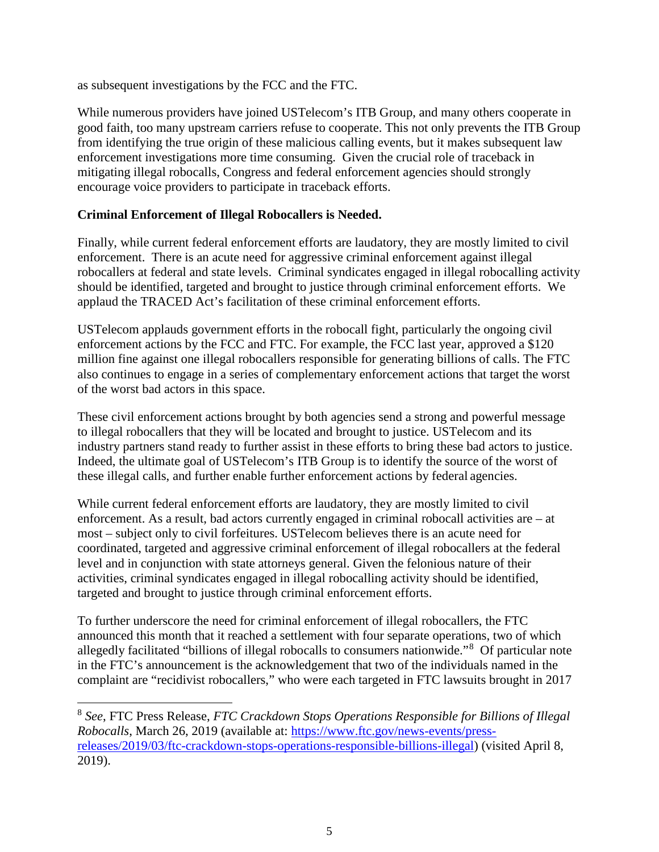as subsequent investigations by the FCC and the FTC.

While numerous providers have joined USTelecom's ITB Group, and many others cooperate in good faith, too many upstream carriers refuse to cooperate. This not only prevents the ITB Group from identifying the true origin of these malicious calling events, but it makes subsequent law enforcement investigations more time consuming. Given the crucial role of traceback in mitigating illegal robocalls, Congress and federal enforcement agencies should strongly encourage voice providers to participate in traceback efforts.

# **Criminal Enforcement of Illegal Robocallers is Needed.**

Finally, while current federal enforcement efforts are laudatory, they are mostly limited to civil enforcement. There is an acute need for aggressive criminal enforcement against illegal robocallers at federal and state levels. Criminal syndicates engaged in illegal robocalling activity should be identified, targeted and brought to justice through criminal enforcement efforts. We applaud the TRACED Act's facilitation of these criminal enforcement efforts.

USTelecom applauds government efforts in the robocall fight, particularly the ongoing civil enforcement actions by the FCC and FTC. For example, the FCC last year, approved a \$120 million fine against one illegal robocallers responsible for generating billions of calls. The FTC also continues to engage in a series of complementary enforcement actions that target the worst of the worst bad actors in this space.

These civil enforcement actions brought by both agencies send a strong and powerful message to illegal robocallers that they will be located and brought to justice. USTelecom and its industry partners stand ready to further assist in these efforts to bring these bad actors to justice. Indeed, the ultimate goal of USTelecom's ITB Group is to identify the source of the worst of these illegal calls, and further enable further enforcement actions by federal agencies.

While current federal enforcement efforts are laudatory, they are mostly limited to civil enforcement. As a result, bad actors currently engaged in criminal robocall activities are – at most – subject only to civil forfeitures. USTelecom believes there is an acute need for coordinated, targeted and aggressive criminal enforcement of illegal robocallers at the federal level and in conjunction with state attorneys general. Given the felonious nature of their activities, criminal syndicates engaged in illegal robocalling activity should be identified, targeted and brought to justice through criminal enforcement efforts.

To further underscore the need for criminal enforcement of illegal robocallers, the FTC announced this month that it reached a settlement with four separate operations, two of which allegedly facilitated "billions of illegal robocalls to consumers nationwide."[8](#page-4-0) Of particular note in the FTC's announcement is the acknowledgement that two of the individuals named in the complaint are "recidivist robocallers," who were each targeted in FTC lawsuits brought in 2017

<span id="page-4-0"></span> <sup>8</sup> *See*, FTC Press Release, *FTC Crackdown Stops Operations Responsible for Billions of Illegal Robocalls*, March 26, 2019 (available at: [https://www.ftc.gov/news-events/press](https://www.ftc.gov/news-events/press-releases/2019/03/ftc-crackdown-stops-operations-responsible-billions-illegal)[releases/2019/03/ftc-crackdown-stops-operations-responsible-billions-illegal\)](https://www.ftc.gov/news-events/press-releases/2019/03/ftc-crackdown-stops-operations-responsible-billions-illegal) (visited April 8, 2019).